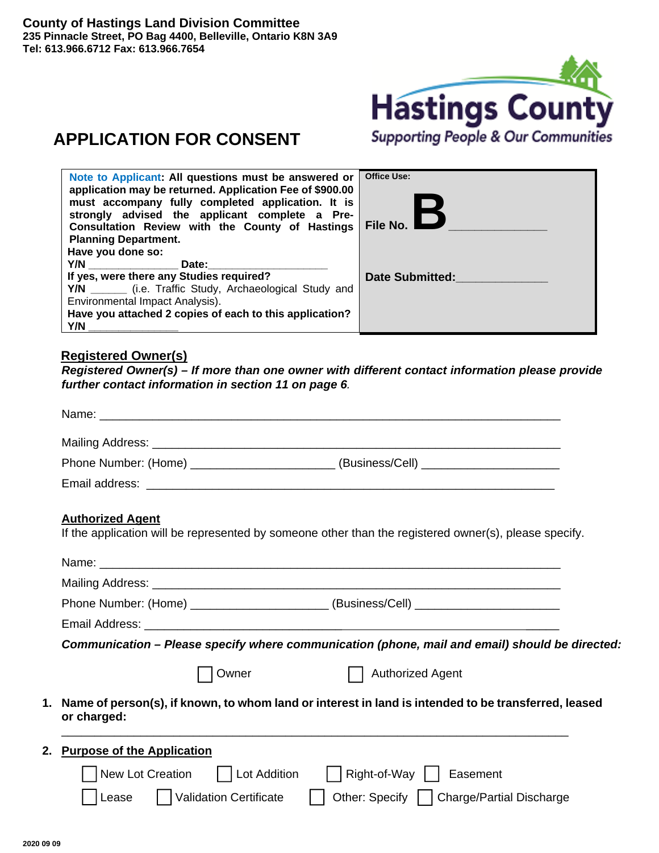

# **APPLICATION FOR CONSENT**

| Note to Applicant: All questions must be answered or<br>application may be returned. Application Fee of \$900.00<br>must accompany fully completed application. It is<br>strongly advised the applicant complete a Pre-<br>Consultation Review with the County of Hastings<br><b>Planning Department.</b><br>Have you done so:                                                                                                                         | <b>Office Use:</b><br>File No. I |
|--------------------------------------------------------------------------------------------------------------------------------------------------------------------------------------------------------------------------------------------------------------------------------------------------------------------------------------------------------------------------------------------------------------------------------------------------------|----------------------------------|
| Y/N and the contract of the contract of the contract of the contract of the contract of the contract of the contract of the contract of the contract of the contract of the contract of the contract of the contract of the co<br>Date:<br>If yes, were there any Studies required?<br>Y/N ________ (i.e. Traffic Study, Archaeological Study and<br>Environmental Impact Analysis).<br>Have you attached 2 copies of each to this application?<br>Y/N | <b>Date Submitted:</b>           |

### **Registered Owner(s)**

*Registered Owner(s) – If more than one owner with different contact information please provide further contact information in section 11 on page 6.* 

|                                   |       | Phone Number: (Home) ________________________(Business/Cell) ___________________                       |
|-----------------------------------|-------|--------------------------------------------------------------------------------------------------------|
|                                   |       |                                                                                                        |
| <b>Authorized Agent</b>           |       |                                                                                                        |
|                                   |       | If the application will be represented by someone other than the registered owner(s), please specify.  |
|                                   |       |                                                                                                        |
|                                   |       |                                                                                                        |
|                                   |       | Phone Number: (Home) _________________________(Business/Cell) ___________________                      |
|                                   |       |                                                                                                        |
|                                   |       | Communication - Please specify where communication (phone, mail and email) should be directed:         |
|                                   | Owner | <b>Authorized Agent</b>                                                                                |
|                                   |       | 1. Name of person(s), if known, to whom land or interest in land is intended to be transferred, leased |
| or charged:                       |       |                                                                                                        |
| 2. Purpose of the Application     |       |                                                                                                        |
| New Lot Creation     Lot Addition |       | Right-of-Way     Easement                                                                              |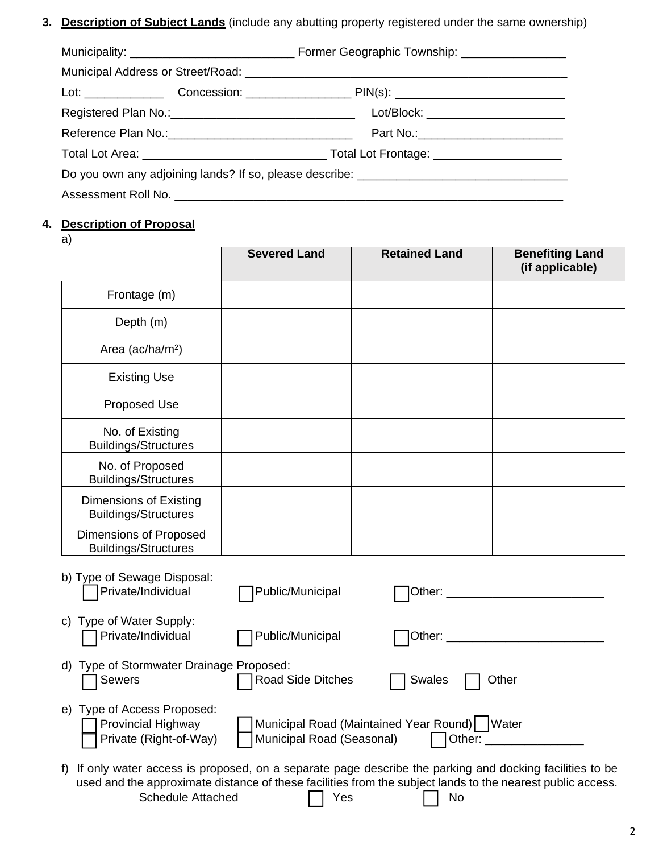**3. Description of Subject Lands** (include any abutting property registered under the same ownership)

|                                                                                   |  | Lot/Block: __________________________ |  |  |
|-----------------------------------------------------------------------------------|--|---------------------------------------|--|--|
|                                                                                   |  |                                       |  |  |
|                                                                                   |  |                                       |  |  |
| Do you own any adjoining lands? If so, please describe: _________________________ |  |                                       |  |  |
|                                                                                   |  |                                       |  |  |

# **4. Description of Proposal**

a)

|                                                                                    | <b>Severed Land</b>       | <b>Retained Land</b>                           | <b>Benefiting Land</b><br>(if applicable) |
|------------------------------------------------------------------------------------|---------------------------|------------------------------------------------|-------------------------------------------|
| Frontage (m)                                                                       |                           |                                                |                                           |
| Depth (m)                                                                          |                           |                                                |                                           |
| Area (ac/ha/m <sup>2</sup> )                                                       |                           |                                                |                                           |
| <b>Existing Use</b>                                                                |                           |                                                |                                           |
| Proposed Use                                                                       |                           |                                                |                                           |
| No. of Existing<br><b>Buildings/Structures</b>                                     |                           |                                                |                                           |
| No. of Proposed<br><b>Buildings/Structures</b>                                     |                           |                                                |                                           |
| Dimensions of Existing<br><b>Buildings/Structures</b>                              |                           |                                                |                                           |
| Dimensions of Proposed<br><b>Buildings/Structures</b>                              |                           |                                                |                                           |
| b) Type of Sewage Disposal:<br>Private/Individual                                  | Public/Municipal          |                                                |                                           |
| Type of Water Supply:<br>C)<br>Private/Individual                                  | Public/Municipal          |                                                | Other: _____________________________      |
| d) Type of Stormwater Drainage Proposed:<br><b>Sewers</b>                          | Road Side Ditches         | <b>Swales</b>                                  | Other                                     |
| e) Type of Access Proposed:<br><b>Provincial Highway</b><br>Private (Right-of-Way) | Municipal Road (Seasonal) | Municipal Road (Maintained Year Round)   Water | Other: _____________                      |

f) If only water access is proposed, on a separate page describe the parking and docking facilities to be used and the approximate distance of these facilities from the subject lands to the nearest public access. Schedule Attached **No. 1976** Yes **No. 1976** No.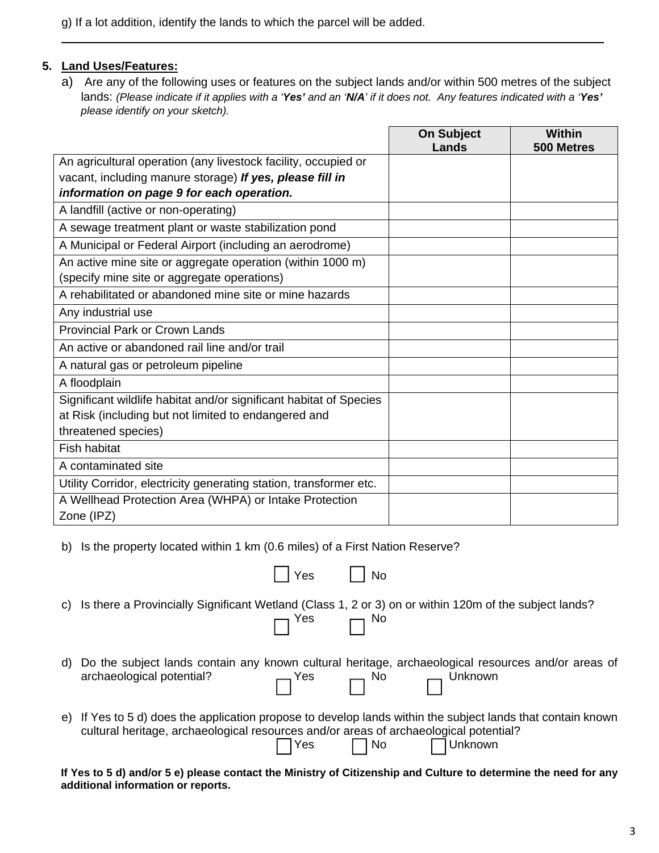g) If a lot addition, identify the lands to which the parcel will be added.

#### **5. Land Uses/Features:**

 $\overline{a}$ 

a) Are any of the following uses or features on the subject lands and/or within 500 metres of the subject lands: *(Please indicate if it applies with a 'Yes' and an 'N/A' if it does not. Any features indicated with a 'Yes' please identify on your sketch).*

|                                                                      | <b>On Subject</b><br>Lands | <b>Within</b><br>500 Metres |
|----------------------------------------------------------------------|----------------------------|-----------------------------|
| An agricultural operation (any livestock facility, occupied or       |                            |                             |
| vacant, including manure storage) If yes, please fill in             |                            |                             |
| information on page 9 for each operation.                            |                            |                             |
| A landfill (active or non-operating)                                 |                            |                             |
| A sewage treatment plant or waste stabilization pond                 |                            |                             |
| A Municipal or Federal Airport (including an aerodrome)              |                            |                             |
| An active mine site or aggregate operation (within 1000 m)           |                            |                             |
| (specify mine site or aggregate operations)                          |                            |                             |
| A rehabilitated or abandoned mine site or mine hazards               |                            |                             |
| Any industrial use                                                   |                            |                             |
| <b>Provincial Park or Crown Lands</b>                                |                            |                             |
| An active or abandoned rail line and/or trail                        |                            |                             |
| A natural gas or petroleum pipeline                                  |                            |                             |
| A floodplain                                                         |                            |                             |
| Significant wildlife habitat and/or significant habitat of Species   |                            |                             |
| at Risk (including but not limited to endangered and                 |                            |                             |
| threatened species)                                                  |                            |                             |
| <b>Fish habitat</b>                                                  |                            |                             |
| A contaminated site                                                  |                            |                             |
| Utility Corridor, electricity generating station, transformer etc.   |                            |                             |
| A Wellhead Protection Area (WHPA) or Intake Protection<br>Zone (IPZ) |                            |                             |

b) Is the property located within 1 km (0.6 miles) of a First Nation Reserve?

|    | 'Yes 「<br>l No                                                                                                                                                                                                        |
|----|-----------------------------------------------------------------------------------------------------------------------------------------------------------------------------------------------------------------------|
| C) | Is there a Provincially Significant Wetland (Class 1, 2 or 3) on or within 120m of the subject lands?<br>$\Box$ Yes $\Box$ No                                                                                         |
| d) | Do the subject lands contain any known cultural heritage, archaeological resources and/or areas of<br>archaeological potential? $\Box$ Yes $\Box$ No $\Box$ Unknown                                                   |
| e) | If Yes to 5 d) does the application propose to develop lands within the subject lands that contain known<br>cultural heritage, archaeological resources and/or areas of archaeological potential?<br>TYes No DUnknown |

**If Yes to 5 d) and/or 5 e) please contact the Ministry of Citizenship and Culture to determine the need for any additional information or reports.**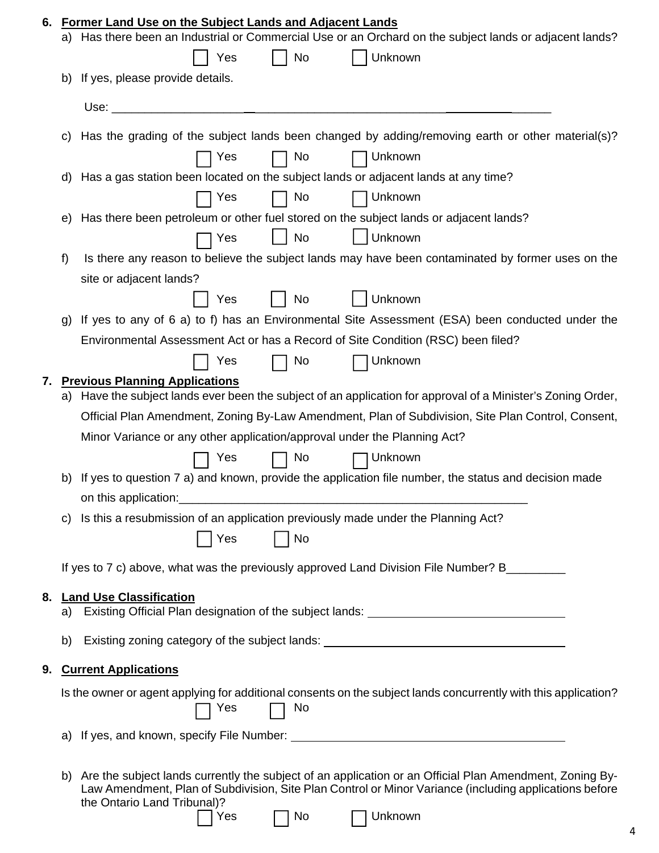| 6. |    | <b>Former Land Use on the Subject Lands and Adjacent Lands</b><br>a) Has there been an Industrial or Commercial Use or an Orchard on the subject lands or adjacent lands?                                                                                                |
|----|----|--------------------------------------------------------------------------------------------------------------------------------------------------------------------------------------------------------------------------------------------------------------------------|
|    |    | No<br>Unknown<br>Yes                                                                                                                                                                                                                                                     |
|    | b) | If yes, please provide details.                                                                                                                                                                                                                                          |
|    |    | Use:                                                                                                                                                                                                                                                                     |
|    | C) | Has the grading of the subject lands been changed by adding/removing earth or other material(s)?                                                                                                                                                                         |
|    |    | No<br>Unknown<br>Yes                                                                                                                                                                                                                                                     |
|    |    | d) Has a gas station been located on the subject lands or adjacent lands at any time?                                                                                                                                                                                    |
|    |    | No<br>Unknown<br>Yes                                                                                                                                                                                                                                                     |
|    | e) | Has there been petroleum or other fuel stored on the subject lands or adjacent lands?                                                                                                                                                                                    |
|    |    | <b>No</b><br>Unknown<br>Yes                                                                                                                                                                                                                                              |
|    | f) | Is there any reason to believe the subject lands may have been contaminated by former uses on the                                                                                                                                                                        |
|    |    | site or adjacent lands?                                                                                                                                                                                                                                                  |
|    |    | Unknown<br>Yes<br>$\vert$   No                                                                                                                                                                                                                                           |
|    | g) | If yes to any of 6 a) to f) has an Environmental Site Assessment (ESA) been conducted under the                                                                                                                                                                          |
|    |    | Environmental Assessment Act or has a Record of Site Condition (RSC) been filed?                                                                                                                                                                                         |
|    |    | Unknown<br>Yes<br>No                                                                                                                                                                                                                                                     |
| 7. | a) | <b>Previous Planning Applications</b><br>Have the subject lands ever been the subject of an application for approval of a Minister's Zoning Order,                                                                                                                       |
|    |    | Official Plan Amendment, Zoning By-Law Amendment, Plan of Subdivision, Site Plan Control, Consent,                                                                                                                                                                       |
|    |    | Minor Variance or any other application/approval under the Planning Act?                                                                                                                                                                                                 |
|    |    | $\Box$ No<br>Unknown<br>Yes                                                                                                                                                                                                                                              |
|    |    | b) If yes to question 7 a) and known, provide the application file number, the status and decision made                                                                                                                                                                  |
|    |    | on this application:                                                                                                                                                                                                                                                     |
|    | C) | Is this a resubmission of an application previously made under the Planning Act?                                                                                                                                                                                         |
|    |    | No<br>Yes                                                                                                                                                                                                                                                                |
|    |    |                                                                                                                                                                                                                                                                          |
|    |    | If yes to 7 c) above, what was the previously approved Land Division File Number? B________                                                                                                                                                                              |
| 8. |    | <b>Land Use Classification</b>                                                                                                                                                                                                                                           |
|    |    | a) Existing Official Plan designation of the subject lands: _____________________                                                                                                                                                                                        |
|    | b) | Existing zoning category of the subject lands: _________________________________                                                                                                                                                                                         |
| 9. |    | <b>Current Applications</b>                                                                                                                                                                                                                                              |
|    |    | Is the owner or agent applying for additional consents on the subject lands concurrently with this application?<br>Yes<br>No                                                                                                                                             |
|    |    |                                                                                                                                                                                                                                                                          |
|    | b) | Are the subject lands currently the subject of an application or an Official Plan Amendment, Zoning By-<br>Law Amendment, Plan of Subdivision, Site Plan Control or Minor Variance (including applications before<br>the Ontario Land Tribunal)?<br>Unknown<br>Yes<br>No |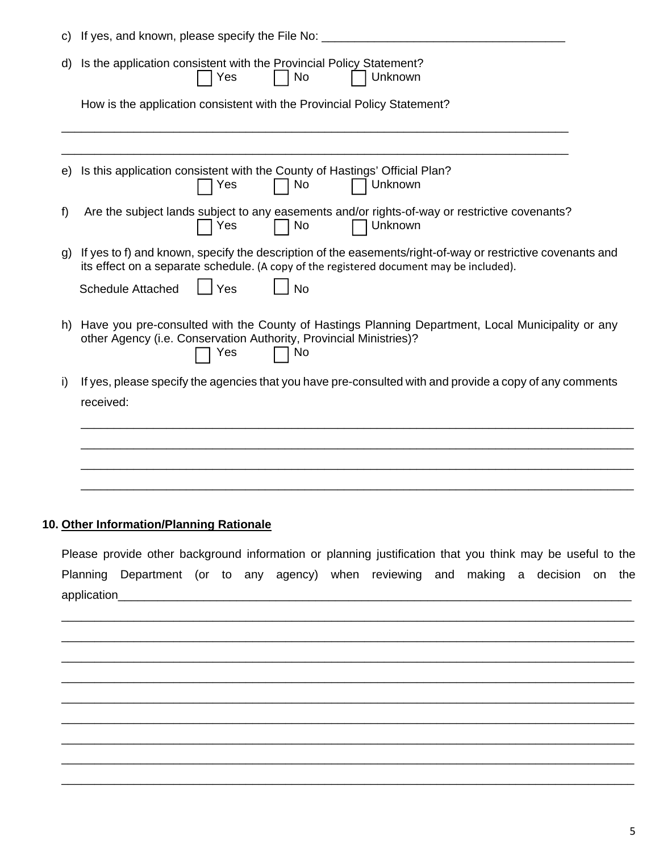| C)           | If yes, and known, please specify the File No:                                                                                                                                                                                                        |
|--------------|-------------------------------------------------------------------------------------------------------------------------------------------------------------------------------------------------------------------------------------------------------|
| d)           | Is the application consistent with the Provincial Policy Statement?<br>Unknown<br>Yes<br>No                                                                                                                                                           |
|              | How is the application consistent with the Provincial Policy Statement?                                                                                                                                                                               |
| e)           | Is this application consistent with the County of Hastings' Official Plan?<br>No<br>Unknown<br>Yes                                                                                                                                                    |
| f            | Are the subject lands subject to any easements and/or rights-of-way or restrictive covenants?<br>Yes<br>No<br>Unknown                                                                                                                                 |
| $\mathbf{q}$ | If yes to f) and known, specify the description of the easements/right-of-way or restrictive covenants and<br>its effect on a separate schedule. (A copy of the registered document may be included).<br>Yes<br><b>Schedule Attached</b><br><b>No</b> |
| h)           | Have you pre-consulted with the County of Hastings Planning Department, Local Municipality or any<br>other Agency (i.e. Conservation Authority, Provincial Ministries)?<br>Yes<br>No                                                                  |
| i)           | If yes, please specify the agencies that you have pre-consulted with and provide a copy of any comments<br>received:                                                                                                                                  |
|              |                                                                                                                                                                                                                                                       |
|              |                                                                                                                                                                                                                                                       |

# **10. Other Information/Planning Rationale**

Please provide other background information or planning justification that you think may be useful to the Planning Department (or to any agency) when reviewing and making a decision on the application\_\_\_\_\_\_\_\_\_\_\_\_\_\_\_\_\_\_\_\_\_\_\_\_\_\_\_\_\_\_\_\_\_\_\_\_\_\_\_\_\_\_\_\_\_\_\_\_\_\_\_\_\_\_\_\_\_\_\_\_\_\_\_\_\_\_\_\_\_\_\_\_\_\_\_\_\_\_

\_\_\_\_\_\_\_\_\_\_\_\_\_\_\_\_\_\_\_\_\_\_\_\_\_\_\_\_\_\_\_\_\_\_\_\_\_\_\_\_\_\_\_\_\_\_\_\_\_\_\_\_\_\_\_\_\_\_\_\_\_\_\_\_\_\_\_\_\_\_\_\_\_\_\_\_\_\_\_\_\_\_\_\_\_\_\_ \_\_\_\_\_\_\_\_\_\_\_\_\_\_\_\_\_\_\_\_\_\_\_\_\_\_\_\_\_\_\_\_\_\_\_\_\_\_\_\_\_\_\_\_\_\_\_\_\_\_\_\_\_\_\_\_\_\_\_\_\_\_\_\_\_\_\_\_\_\_\_\_\_\_\_\_\_\_\_\_\_\_\_\_\_\_\_ \_\_\_\_\_\_\_\_\_\_\_\_\_\_\_\_\_\_\_\_\_\_\_\_\_\_\_\_\_\_\_\_\_\_\_\_\_\_\_\_\_\_\_\_\_\_\_\_\_\_\_\_\_\_\_\_\_\_\_\_\_\_\_\_\_\_\_\_\_\_\_\_\_\_\_\_\_\_\_\_\_\_\_\_\_\_\_ \_\_\_\_\_\_\_\_\_\_\_\_\_\_\_\_\_\_\_\_\_\_\_\_\_\_\_\_\_\_\_\_\_\_\_\_\_\_\_\_\_\_\_\_\_\_\_\_\_\_\_\_\_\_\_\_\_\_\_\_\_\_\_\_\_\_\_\_\_\_\_\_\_\_\_\_\_\_\_\_\_\_\_\_\_\_\_ \_\_\_\_\_\_\_\_\_\_\_\_\_\_\_\_\_\_\_\_\_\_\_\_\_\_\_\_\_\_\_\_\_\_\_\_\_\_\_\_\_\_\_\_\_\_\_\_\_\_\_\_\_\_\_\_\_\_\_\_\_\_\_\_\_\_\_\_\_\_\_\_\_\_\_\_\_\_\_\_\_\_\_\_\_\_\_ \_\_\_\_\_\_\_\_\_\_\_\_\_\_\_\_\_\_\_\_\_\_\_\_\_\_\_\_\_\_\_\_\_\_\_\_\_\_\_\_\_\_\_\_\_\_\_\_\_\_\_\_\_\_\_\_\_\_\_\_\_\_\_\_\_\_\_\_\_\_\_\_\_\_\_\_\_\_\_\_\_\_\_\_\_\_\_ \_\_\_\_\_\_\_\_\_\_\_\_\_\_\_\_\_\_\_\_\_\_\_\_\_\_\_\_\_\_\_\_\_\_\_\_\_\_\_\_\_\_\_\_\_\_\_\_\_\_\_\_\_\_\_\_\_\_\_\_\_\_\_\_\_\_\_\_\_\_\_\_\_\_\_\_\_\_\_\_\_\_\_\_\_\_\_ \_\_\_\_\_\_\_\_\_\_\_\_\_\_\_\_\_\_\_\_\_\_\_\_\_\_\_\_\_\_\_\_\_\_\_\_\_\_\_\_\_\_\_\_\_\_\_\_\_\_\_\_\_\_\_\_\_\_\_\_\_\_\_\_\_\_\_\_\_\_\_\_\_\_\_\_\_\_\_\_\_\_\_\_\_\_\_ \_\_\_\_\_\_\_\_\_\_\_\_\_\_\_\_\_\_\_\_\_\_\_\_\_\_\_\_\_\_\_\_\_\_\_\_\_\_\_\_\_\_\_\_\_\_\_\_\_\_\_\_\_\_\_\_\_\_\_\_\_\_\_\_\_\_\_\_\_\_\_\_\_\_\_\_\_\_\_\_\_\_\_\_\_\_\_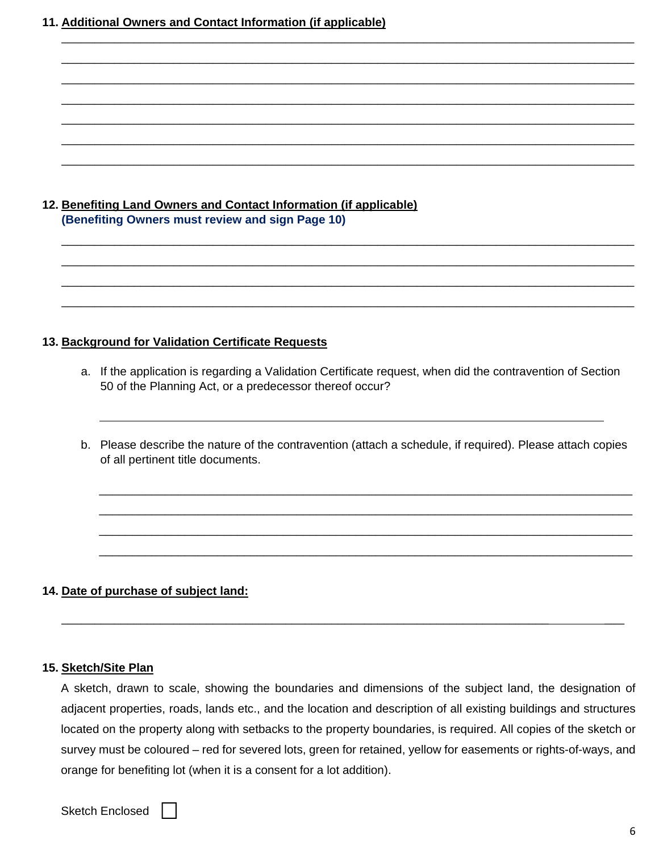**11. Additional Owners and Contact Information (if applicable)** 

# **12. Benefiting Land Owners and Contact Information (if applicable) (Benefiting Owners must review and sign Page 10)**

#### **13. Background for Validation Certificate Requests**

a. If the application is regarding a Validation Certificate request, when did the contravention of Section 50 of the Planning Act, or a predecessor thereof occur?

\_\_\_\_\_\_\_\_\_\_\_\_\_\_\_\_\_\_\_\_\_\_\_\_\_\_\_\_\_\_\_\_\_\_\_\_\_\_\_\_\_\_\_\_\_\_\_\_\_\_\_\_\_\_\_\_\_\_\_\_\_\_\_\_\_\_\_\_\_\_\_\_\_\_\_\_\_\_\_\_\_\_\_\_\_\_\_ \_\_\_\_\_\_\_\_\_\_\_\_\_\_\_\_\_\_\_\_\_\_\_\_\_\_\_\_\_\_\_\_\_\_\_\_\_\_\_\_\_\_\_\_\_\_\_\_\_\_\_\_\_\_\_\_\_\_\_\_\_\_\_\_\_\_\_\_\_\_\_\_\_\_\_\_\_\_\_\_\_\_\_\_\_\_\_ \_\_\_\_\_\_\_\_\_\_\_\_\_\_\_\_\_\_\_\_\_\_\_\_\_\_\_\_\_\_\_\_\_\_\_\_\_\_\_\_\_\_\_\_\_\_\_\_\_\_\_\_\_\_\_\_\_\_\_\_\_\_\_\_\_\_\_\_\_\_\_\_\_\_\_\_\_\_\_\_\_\_\_\_\_\_\_ \_\_\_\_\_\_\_\_\_\_\_\_\_\_\_\_\_\_\_\_\_\_\_\_\_\_\_\_\_\_\_\_\_\_\_\_\_\_\_\_\_\_\_\_\_\_\_\_\_\_\_\_\_\_\_\_\_\_\_\_\_\_\_\_\_\_\_\_\_\_\_\_\_\_\_\_\_\_\_\_\_\_\_\_\_\_\_

\_\_\_\_\_\_\_\_\_\_\_\_\_\_\_\_\_\_\_\_\_\_\_\_\_\_\_\_\_\_\_\_\_\_\_\_\_\_\_\_\_\_\_\_\_\_\_\_\_\_\_\_\_\_\_\_\_\_\_\_\_\_\_\_\_\_\_\_\_\_\_\_\_\_\_\_\_\_\_\_\_\_\_\_\_\_\_ \_\_\_\_\_\_\_\_\_\_\_\_\_\_\_\_\_\_\_\_\_\_\_\_\_\_\_\_\_\_\_\_\_\_\_\_\_\_\_\_\_\_\_\_\_\_\_\_\_\_\_\_\_\_\_\_\_\_\_\_\_\_\_\_\_\_\_\_\_\_\_\_\_\_\_\_\_\_\_\_\_\_\_\_\_\_\_ \_\_\_\_\_\_\_\_\_\_\_\_\_\_\_\_\_\_\_\_\_\_\_\_\_\_\_\_\_\_\_\_\_\_\_\_\_\_\_\_\_\_\_\_\_\_\_\_\_\_\_\_\_\_\_\_\_\_\_\_\_\_\_\_\_\_\_\_\_\_\_\_\_\_\_\_\_\_\_\_\_\_\_\_\_\_\_ \_\_\_\_\_\_\_\_\_\_\_\_\_\_\_\_\_\_\_\_\_\_\_\_\_\_\_\_\_\_\_\_\_\_\_\_\_\_\_\_\_\_\_\_\_\_\_\_\_\_\_\_\_\_\_\_\_\_\_\_\_\_\_\_\_\_\_\_\_\_\_\_\_\_\_\_\_\_\_\_\_\_\_\_\_\_\_ \_\_\_\_\_\_\_\_\_\_\_\_\_\_\_\_\_\_\_\_\_\_\_\_\_\_\_\_\_\_\_\_\_\_\_\_\_\_\_\_\_\_\_\_\_\_\_\_\_\_\_\_\_\_\_\_\_\_\_\_\_\_\_\_\_\_\_\_\_\_\_\_\_\_\_\_\_\_\_\_\_\_\_\_\_\_\_ \_\_\_\_\_\_\_\_\_\_\_\_\_\_\_\_\_\_\_\_\_\_\_\_\_\_\_\_\_\_\_\_\_\_\_\_\_\_\_\_\_\_\_\_\_\_\_\_\_\_\_\_\_\_\_\_\_\_\_\_\_\_\_\_\_\_\_\_\_\_\_\_\_\_\_\_\_\_\_\_\_\_\_\_\_\_\_ \_\_\_\_\_\_\_\_\_\_\_\_\_\_\_\_\_\_\_\_\_\_\_\_\_\_\_\_\_\_\_\_\_\_\_\_\_\_\_\_\_\_\_\_\_\_\_\_\_\_\_\_\_\_\_\_\_\_\_\_\_\_\_\_\_\_\_\_\_\_\_\_\_\_\_\_\_\_\_\_\_\_\_\_\_\_\_

b. Please describe the nature of the contravention (attach a schedule, if required). Please attach copies of all pertinent title documents.

\_\_\_\_\_\_\_\_\_\_\_\_\_\_\_\_\_\_\_\_\_\_\_\_\_\_\_\_\_\_\_\_\_\_\_\_\_\_\_\_\_\_\_\_\_\_\_\_\_\_\_\_\_\_\_\_\_\_\_\_\_\_\_\_\_\_\_\_\_\_\_\_\_\_\_\_\_\_\_\_\_ \_\_\_\_\_\_\_\_\_\_\_\_\_\_\_\_\_\_\_\_\_\_\_\_\_\_\_\_\_\_\_\_\_\_\_\_\_\_\_\_\_\_\_\_\_\_\_\_\_\_\_\_\_\_\_\_\_\_\_\_\_\_\_\_\_\_\_\_\_\_\_\_\_\_\_\_\_\_\_\_\_ \_\_\_\_\_\_\_\_\_\_\_\_\_\_\_\_\_\_\_\_\_\_\_\_\_\_\_\_\_\_\_\_\_\_\_\_\_\_\_\_\_\_\_\_\_\_\_\_\_\_\_\_\_\_\_\_\_\_\_\_\_\_\_\_\_\_\_\_\_\_\_\_\_\_\_\_\_\_\_\_\_ \_\_\_\_\_\_\_\_\_\_\_\_\_\_\_\_\_\_\_\_\_\_\_\_\_\_\_\_\_\_\_\_\_\_\_\_\_\_\_\_\_\_\_\_\_\_\_\_\_\_\_\_\_\_\_\_\_\_\_\_\_\_\_\_\_\_\_\_\_\_\_\_\_\_\_\_\_\_\_\_\_

#### **14. Date of purchase of subject land:**

#### **15. Sketch/Site Plan**

 $\overline{a}$ 

A sketch, drawn to scale, showing the boundaries and dimensions of the subject land, the designation of adjacent properties, roads, lands etc., and the location and description of all existing buildings and structures located on the property along with setbacks to the property boundaries, is required. All copies of the sketch or survey must be coloured – red for severed lots, green for retained, yellow for easements or rights-of-ways, and orange for benefiting lot (when it is a consent for a lot addition).

\_\_\_\_\_\_\_\_\_\_\_\_\_\_\_\_\_\_\_\_\_\_\_\_\_\_\_\_\_\_\_\_\_\_\_\_\_\_\_\_\_\_\_\_\_\_\_\_\_\_\_\_\_\_\_\_\_\_\_\_\_\_\_\_\_\_\_\_\_\_\_\_\_\_ \_\_\_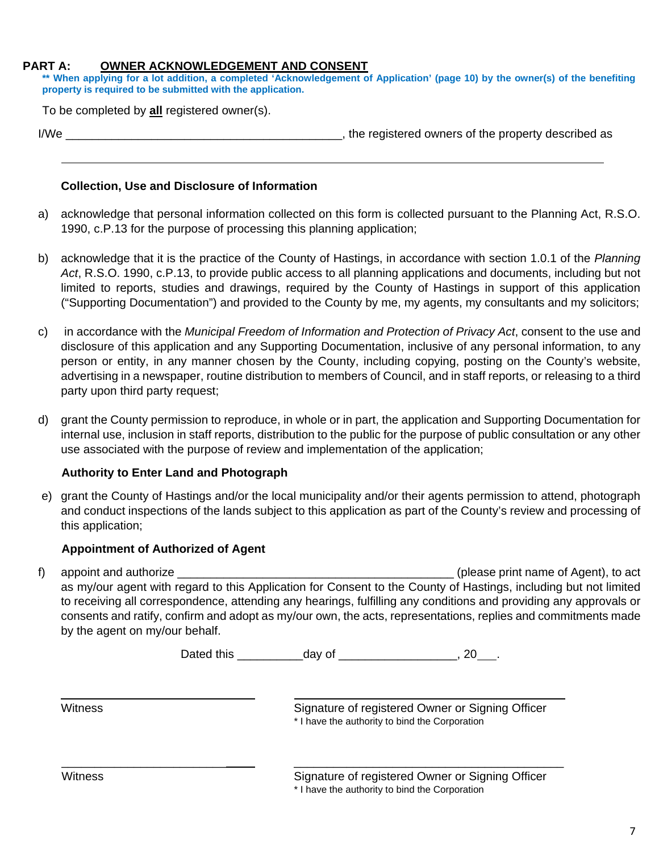#### **PART A: OWNER ACKNOWLEDGEMENT AND CONSENT**

**\*\* When applying for a lot addition, a completed 'Acknowledgement of Application' (page 10) by the owner(s) of the benefiting property is required to be submitted with the application.** 

To be completed by **all** registered owner(s).

 $\overline{a}$ 

| I/We | the registered owners of the property described as |
|------|----------------------------------------------------|
|      |                                                    |
|      |                                                    |

#### **Collection, Use and Disclosure of Information**

- a) acknowledge that personal information collected on this form is collected pursuant to the Planning Act, R.S.O. 1990, c.P.13 for the purpose of processing this planning application;
- b) acknowledge that it is the practice of the County of Hastings, in accordance with section 1.0.1 of the *Planning Act*, R.S.O. 1990, c.P.13, to provide public access to all planning applications and documents, including but not limited to reports, studies and drawings, required by the County of Hastings in support of this application ("Supporting Documentation") and provided to the County by me, my agents, my consultants and my solicitors;
- c) in accordance with the *Municipal Freedom of Information and Protection of Privacy Act*, consent to the use and disclosure of this application and any Supporting Documentation, inclusive of any personal information, to any person or entity, in any manner chosen by the County, including copying, posting on the County's website, advertising in a newspaper, routine distribution to members of Council, and in staff reports, or releasing to a third party upon third party request;
- d) grant the County permission to reproduce, in whole or in part, the application and Supporting Documentation for internal use, inclusion in staff reports, distribution to the public for the purpose of public consultation or any other use associated with the purpose of review and implementation of the application;

#### **Authority to Enter Land and Photograph**

e) grant the County of Hastings and/or the local municipality and/or their agents permission to attend, photograph and conduct inspections of the lands subject to this application as part of the County's review and processing of this application;

# **Appointment of Authorized of Agent**

f) appoint and authorize \_\_\_\_\_\_\_\_\_\_\_\_\_\_\_\_\_\_\_\_\_\_\_\_\_\_\_\_\_\_\_\_\_\_\_\_\_\_\_\_\_\_ (please print name of Agent), to act as my/our agent with regard to this Application for Consent to the County of Hastings, including but not limited to receiving all correspondence, attending any hearings, fulfilling any conditions and providing any approvals or consents and ratify, confirm and adopt as my/our own, the acts, representations, replies and commitments made by the agent on my/our behalf.

| Dated this |  |  |
|------------|--|--|
|------------|--|--|

\_\_\_\_\_\_\_\_\_\_\_\_\_\_\_\_\_\_\_\_\_\_\_\_\_ \_\_\_\_\_\_\_\_\_\_\_\_\_\_\_\_\_\_\_\_\_\_\_\_\_\_\_\_\_\_\_\_\_\_\_\_\_\_\_\_\_

 $\overline{a}$ 

Witness **Signature of registered Owner or Signing Officer** Signature of registered Owner or Signing Officer \* I have the authority to bind the Corporation

Signature of registered Owner or Signing Officer

\* I have the authority to bind the Corporation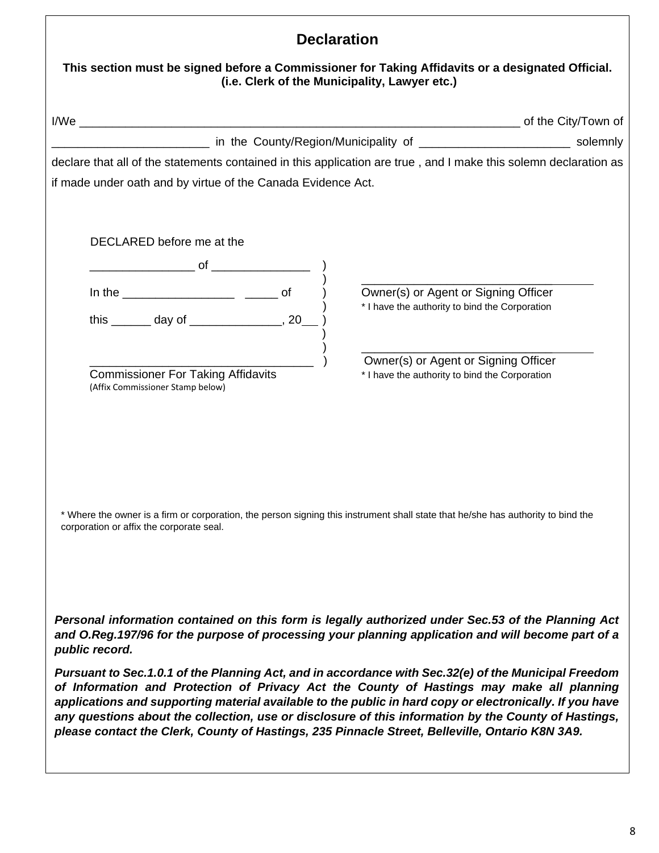| This section must be signed before a Commissioner for Taking Affidavits or a designated Official.<br>(i.e. Clerk of the Municipality, Lawyer etc.)                                                                                                                                                                                                                                                                                                                                                                       |  |  |  |
|--------------------------------------------------------------------------------------------------------------------------------------------------------------------------------------------------------------------------------------------------------------------------------------------------------------------------------------------------------------------------------------------------------------------------------------------------------------------------------------------------------------------------|--|--|--|
|                                                                                                                                                                                                                                                                                                                                                                                                                                                                                                                          |  |  |  |
|                                                                                                                                                                                                                                                                                                                                                                                                                                                                                                                          |  |  |  |
| declare that all of the statements contained in this application are true, and I make this solemn declaration as                                                                                                                                                                                                                                                                                                                                                                                                         |  |  |  |
| if made under oath and by virtue of the Canada Evidence Act.                                                                                                                                                                                                                                                                                                                                                                                                                                                             |  |  |  |
| DECLARED before me at the<br>Owner(s) or Agent or Signing Officer                                                                                                                                                                                                                                                                                                                                                                                                                                                        |  |  |  |
| * I have the authority to bind the Corporation<br>this _______ day of ________________, 20_                                                                                                                                                                                                                                                                                                                                                                                                                              |  |  |  |
| Owner(s) or Agent or Signing Officer<br><b>Commissioner For Taking Affidavits</b><br>* I have the authority to bind the Corporation<br>(Affix Commissioner Stamp below)                                                                                                                                                                                                                                                                                                                                                  |  |  |  |
| * Where the owner is a firm or corporation, the person signing this instrument shall state that he/she has authority to bind the<br>corporation or affix the corporate seal.                                                                                                                                                                                                                                                                                                                                             |  |  |  |
| Personal information contained on this form is legally authorized under Sec.53 of the Planning Act<br>and O.Reg.197/96 for the purpose of processing your planning application and will become part of a<br>public record.                                                                                                                                                                                                                                                                                               |  |  |  |
| Pursuant to Sec.1.0.1 of the Planning Act, and in accordance with Sec.32(e) of the Municipal Freedom<br>of Information and Protection of Privacy Act the County of Hastings may make all planning<br>applications and supporting material available to the public in hard copy or electronically. If you have<br>any questions about the collection, use or disclosure of this information by the County of Hastings,<br>please contact the Clerk, County of Hastings, 235 Pinnacle Street, Belleville, Ontario K8N 3A9. |  |  |  |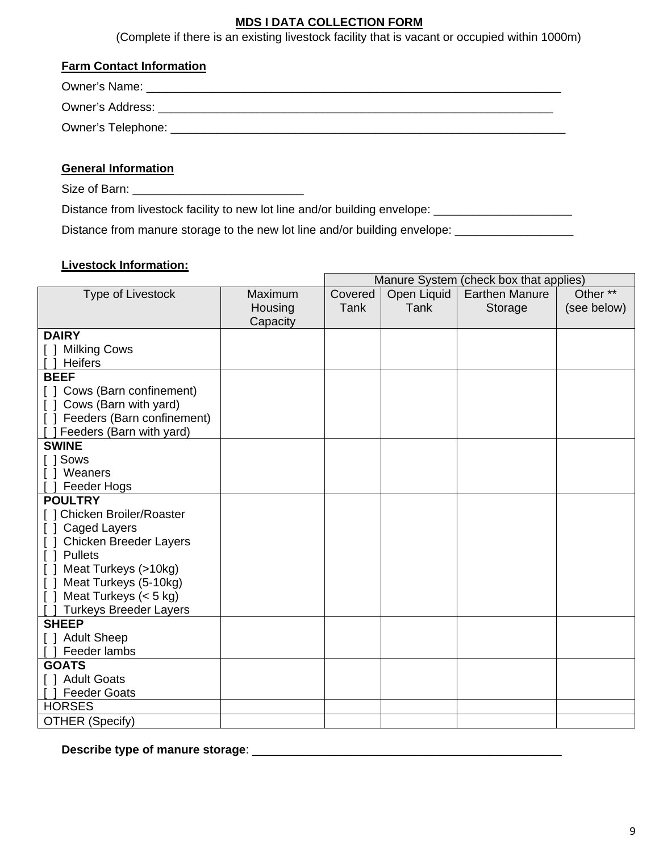# **MDS I DATA COLLECTION FORM**

(Complete if there is an existing livestock facility that is vacant or occupied within 1000m)

#### **Farm Contact Information**

# **General Information**

Size of Barn: \_\_\_\_\_\_\_\_\_\_\_\_\_\_\_\_\_\_\_\_\_\_\_\_\_\_

Distance from livestock facility to new lot line and/or building envelope: \_\_\_\_\_\_\_\_\_\_\_\_\_\_\_\_\_\_\_\_\_\_\_\_

Distance from manure storage to the new lot line and/or building envelope: \_\_\_\_\_\_\_\_\_\_\_\_\_\_\_\_\_\_\_\_\_\_\_\_

#### **Livestock Information:**

|                                 |          |         |             | Manure System (check box that applies) |             |
|---------------------------------|----------|---------|-------------|----------------------------------------|-------------|
| Type of Livestock               | Maximum  | Covered | Open Liquid | <b>Earthen Manure</b>                  | Other **    |
|                                 | Housing  | Tank    | Tank        | Storage                                | (see below) |
|                                 | Capacity |         |             |                                        |             |
| <b>DAIRY</b>                    |          |         |             |                                        |             |
| [ ] Milking Cows                |          |         |             |                                        |             |
| <b>Heifers</b>                  |          |         |             |                                        |             |
| <b>BEEF</b>                     |          |         |             |                                        |             |
| [] Cows (Barn confinement)      |          |         |             |                                        |             |
| Cows (Barn with yard)<br>$\Box$ |          |         |             |                                        |             |
| [ ] Feeders (Barn confinement)  |          |         |             |                                        |             |
| Feeders (Barn with yard)        |          |         |             |                                        |             |
| <b>SWINE</b>                    |          |         |             |                                        |             |
| [ ] Sows                        |          |         |             |                                        |             |
| [ ] Weaners                     |          |         |             |                                        |             |
| Feeder Hogs                     |          |         |             |                                        |             |
| <b>POULTRY</b>                  |          |         |             |                                        |             |
| [ ] Chicken Broiler/Roaster     |          |         |             |                                        |             |
| Caged Layers<br>$\Box$          |          |         |             |                                        |             |
| <b>Chicken Breeder Layers</b>   |          |         |             |                                        |             |
| [ ] Pullets                     |          |         |             |                                        |             |
| [ ] Meat Turkeys (>10kg)        |          |         |             |                                        |             |
| Meat Turkeys (5-10kg)<br>$\Box$ |          |         |             |                                        |             |
| Meat Turkeys $(< 5 kg)$         |          |         |             |                                        |             |
| <b>Turkeys Breeder Layers</b>   |          |         |             |                                        |             |
| <b>SHEEP</b>                    |          |         |             |                                        |             |
| [ ] Adult Sheep                 |          |         |             |                                        |             |
| Feeder lambs                    |          |         |             |                                        |             |
| <b>GOATS</b>                    |          |         |             |                                        |             |
| [ ] Adult Goats                 |          |         |             |                                        |             |
| <b>Feeder Goats</b>             |          |         |             |                                        |             |
| <b>HORSES</b>                   |          |         |             |                                        |             |
| <b>OTHER (Specify)</b>          |          |         |             |                                        |             |

**Describe type of manure storage**: \_\_\_\_\_\_\_\_\_\_\_\_\_\_\_\_\_\_\_\_\_\_\_\_\_\_\_\_\_\_\_\_\_\_\_\_\_\_\_\_\_\_\_\_\_\_\_